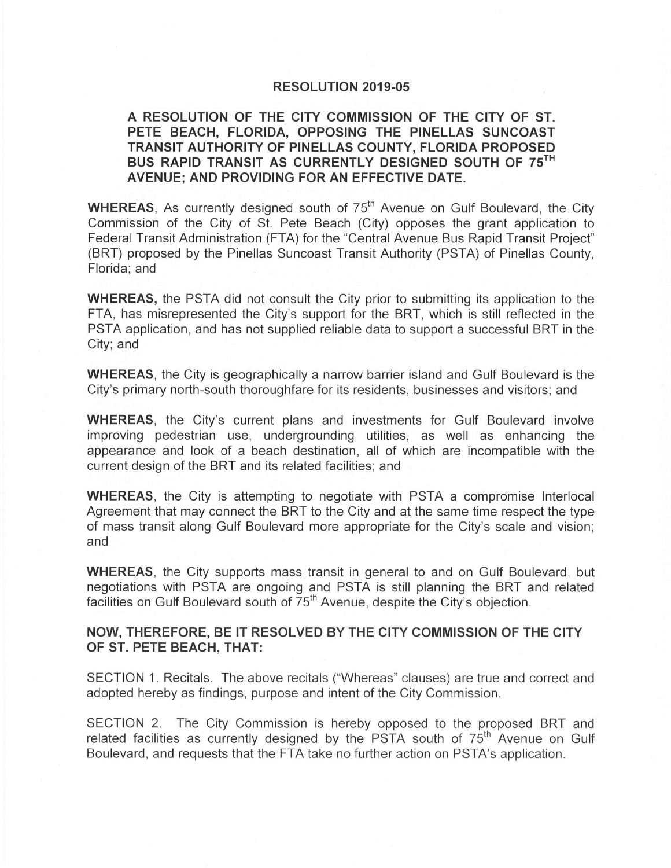## **RESOLUTION 2019-05**

## **A RESOLUTION OF THE CITY COMMISSION OF THE CITY OF ST. PETE BEACH, FLORIDA, OPPOSING THE PINELLAS SUNCOAST TRANSIT AUTHORITY OF PINELLAS COUNTY, FLORIDA PROPOSED BUS RAPID TRANSIT AS CURRENTLY DESIGNED SOUTH OF 75TH AVENUE; AND PROVIDING FOR AN EFFECTIVE DATE.**

**WHEREAS**, As currently designed south of 75<sup>th</sup> Avenue on Gulf Boulevard, the City Commission of the City of St. Pete Beach (City) opposes the grant application to Federal Transit Administration (FTA) for the "Central Avenue Bus Rapid Transit Project" (BRT) proposed by the Pinellas Suncoast Transit Authority (PSTA) of Pinellas County, Florida; and

**WHEREAS,** the PSTA did not consult the City prior to submitting its application to the FTA, has misrepresented the City's support for the BRT, which is still reflected in the PSTA application , and has not supplied reliable data to support a successful BRT in the City; and

**WHEREAS,** the City is geographically a narrow barrier island and Gulf Boulevard is the City's primary north-south thoroughfare for its residents, businesses and visitors; and

**WHEREAS,** the City's current plans and investments for Gulf Boulevard involve improving pedestrian use, undergrounding utilities, as well as enhancing the appearance and look of a beach destination, all of which are incompatible with the current design of the BRT and its related facilities ; and

**WHEREAS ,** the City is attempting to negotiate with PSTA a compromise lnterlocal Agreement that may connect the BRT to the City and at the same time respect the type of mass transit along Gulf Boulevard more appropriate for the City's scale and vision ; and

**WHEREAS**, the City supports mass transit in general to and on Gulf Boulevard, but negotiations with PSTA are ongoing and PSTA is still planning the BRT and related facilities on Gulf Boulevard south of  $75<sup>th</sup>$  Avenue, despite the City's objection.

## **NOW, THEREFORE, BE IT RESOLVED BY THE CITY COMMISSION OF THE CITY OF ST. PETE BEACH, THAT:**

SECTION 1. Recitals. The above recitals ("Whereas" clauses) are true and correct and adopted hereby as findings, purpose and intent of the City Commission .

SECTION 2. The City Commission is hereby opposed to the proposed BRT and related facilities as currently designed by the PSTA south of 75<sup>th</sup> Avenue on Gulf Boulevard, and requests that the FTA take no further action on PSTA's application .